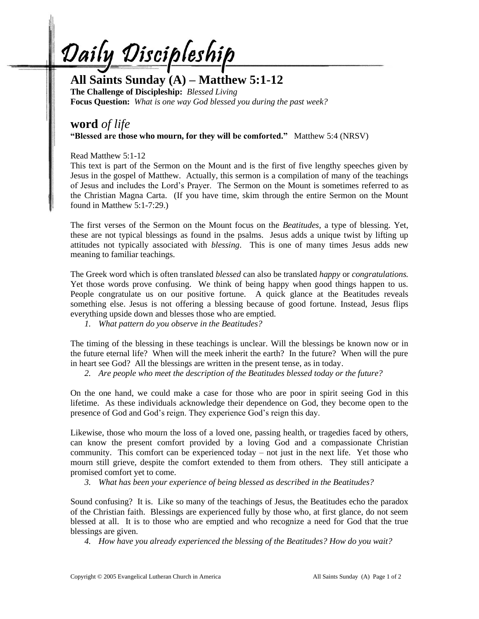Daily Discipleship

## **All Saints Sunday (A) – Matthew 5:1-12**

**The Challenge of Discipleship:** *Blessed Living* **Focus Question:** *What is one way God blessed you during the past week?*

## **word** *of life* **"Blessed are those who mourn, for they will be comforted."** Matthew 5:4 (NRSV)

Read Matthew 5:1-12

This text is part of the Sermon on the Mount and is the first of five lengthy speeches given by Jesus in the gospel of Matthew. Actually, this sermon is a compilation of many of the teachings of Jesus and includes the Lord's Prayer. The Sermon on the Mount is sometimes referred to as the Christian Magna Carta. (If you have time, skim through the entire Sermon on the Mount found in Matthew 5:1-7:29.)

The first verses of the Sermon on the Mount focus on the *Beatitudes,* a type of blessing. Yet, these are not typical blessings as found in the psalms. Jesus adds a unique twist by lifting up attitudes not typically associated with *blessing*. This is one of many times Jesus adds new meaning to familiar teachings.

The Greek word which is often translated *blessed* can also be translated *happy* or *congratulations.*  Yet those words prove confusing. We think of being happy when good things happen to us. People congratulate us on our positive fortune. A quick glance at the Beatitudes reveals something else. Jesus is not offering a blessing because of good fortune. Instead, Jesus flips everything upside down and blesses those who are emptied.

*1. What pattern do you observe in the Beatitudes?*

The timing of the blessing in these teachings is unclear. Will the blessings be known now or in the future eternal life? When will the meek inherit the earth? In the future? When will the pure in heart see God? All the blessings are written in the present tense, as in today.

*2. Are people who meet the description of the Beatitudes blessed today or the future?*

On the one hand, we could make a case for those who are poor in spirit seeing God in this lifetime. As these individuals acknowledge their dependence on God, they become open to the presence of God and God's reign. They experience God's reign this day.

Likewise, those who mourn the loss of a loved one, passing health, or tragedies faced by others, can know the present comfort provided by a loving God and a compassionate Christian community. This comfort can be experienced today – not just in the next life. Yet those who mourn still grieve, despite the comfort extended to them from others. They still anticipate a promised comfort yet to come.

*3. What has been your experience of being blessed as described in the Beatitudes?*

Sound confusing? It is. Like so many of the teachings of Jesus, the Beatitudes echo the paradox of the Christian faith. Blessings are experienced fully by those who, at first glance, do not seem blessed at all. It is to those who are emptied and who recognize a need for God that the true blessings are given.

*4. How have you already experienced the blessing of the Beatitudes? How do you wait?*